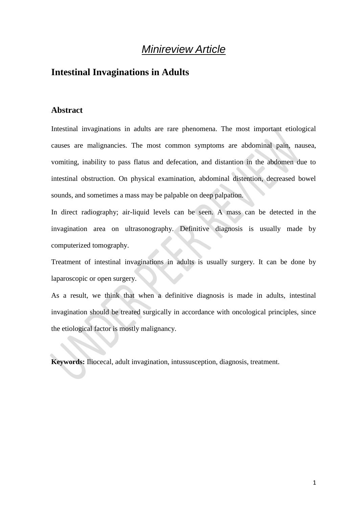# *Minireview Article*

# **Intestinal Invaginations in Adults**

#### **Abstract**

Intestinal invaginations in adults are rare phenomena. The most important etiological causes are malignancies. The most common symptoms are abdominal pain, nausea, vomiting, inability to pass flatus and defecation, and distantion in the abdomen due to intestinal obstruction. On physical examination, abdominal distention, decreased bowel sounds, and sometimes a mass may be palpable on deep palpation.

In direct radiography; air-liquid levels can be seen. A mass can be detected in the invagination area on ultrasonography. Definitive diagnosis is usually made by computerized tomography.

Treatment of intestinal invaginations in adults is usually surgery. It can be done by laparoscopic or open surgery.

As a result, we think that when a definitive diagnosis is made in adults, intestinal invagination should be treated surgically in accordance with oncological principles, since the etiological factor is mostly malignancy.

**Keywords:** Iliocecal, adult invagination, intussusception, diagnosis, treatment.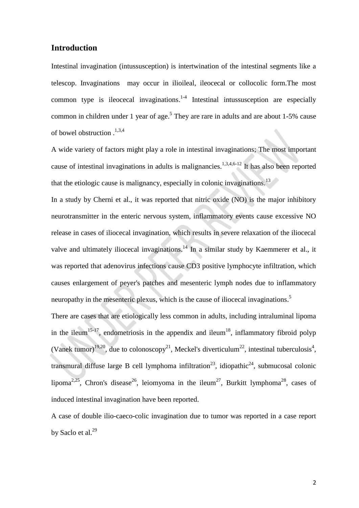## **Introduction**

Intestinal invagination (intussusception) is intertwination of the intestinal segments like a telescop. Invaginations may occur in ilioileal, ileocecal or collocolic form.The most common type is ileocecal invaginations. $1-4$  Intestinal intussusception are especially common in children under 1 year of age.<sup>5</sup> They are rare in adults and are about  $1-5\%$  cause of bowel obstruction . 1,3,4

A wide variety of factors might play a role in intestinal invaginations; The most important cause of intestinal invaginations in adults is malignancies.<sup>1,3,4,6-12</sup> It has also been reported that the etiologic cause is malignancy, especially in colonic invaginations.<sup>13</sup>

In a study by Cherni et al., it was reported that nitric oxide (NO) is the major inhibitory neurotransmitter in the enteric nervous system, inflammatory events cause excessive NO release in cases of iliocecal invagination, which results in severe relaxation of the iliocecal valve and ultimately iliocecal invaginations.<sup>14</sup> In a similar study by Kaemmerer et al., it was reported that adenovirus infections cause CD3 positive lymphocyte infiltration, which causes enlargement of peyer's patches and mesenteric lymph nodes due to inflammatory neuropathy in the mesenteric plexus, which is the cause of iliocecal invaginations.<sup>5</sup>

There are cases that are etiologically less common in adults, including intraluminal lipoma in the ileum<sup>15-17</sup>, endometriosis in the appendix and ileum<sup>18</sup>, inflammatory fibroid polyp (Vanek tumor)<sup>19,20</sup>, due to colonoscopy<sup>21</sup>, Meckel's diverticulum<sup>22</sup>, intestinal tuberculosis<sup>4</sup>, transmural diffuse large B cell lymphoma infiltration<sup>23</sup>, idiopathic<sup>24</sup>, submucosal colonic lipoma<sup>2,25</sup>, Chron's disease<sup>26</sup>, leiomyoma in the ileum<sup>27</sup>, Burkitt lymphoma<sup>28</sup>, cases of induced intestinal invagination have been reported.

A case of double ilio-caeco-colic invagination due to tumor was reported in a case report by Saclo et al. $^{29}$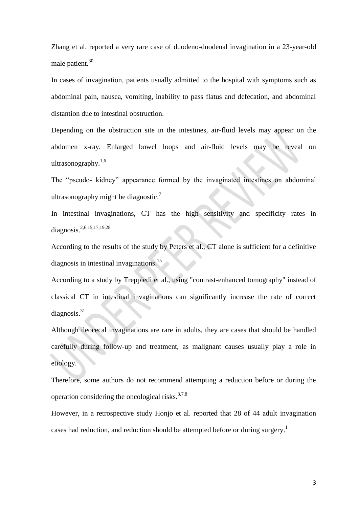Zhang et al. reported a very rare case of duodeno-duodenal invagination in a 23-year-old male patient.<sup>30</sup>

In cases of invagination, patients usually admitted to the hospital with symptoms such as abdominal pain, nausea, vomiting, inability to pass flatus and defecation, and abdominal distantion due to intestinal obstruction.

Depending on the obstruction site in the intestines, air-fluid levels may appear on the abdomen x-ray. Enlarged bowel loops and air-fluid levels may be reveal on ultrasonography.<sup>1,6</sup>

The "pseudo- kidney" appearance formed by the invaginated intestines on abdominal ultrasonography might be diagnostic.<sup>7</sup>

In intestinal invaginations, CT has the high sensitivity and specificity rates in diagnosis. 2,6,15,17,19,28

According to the results of the study by Peters et al., CT alone is sufficient for a definitive diagnosis in intestinal invaginations. 15

According to a study by Treppiedi et al., using "contrast-enhanced tomography" instead of classical CT in intestinal invaginations can significantly increase the rate of correct diagnosis. 31

Although ileocecal invaginations are rare in adults, they are cases that should be handled carefully during follow-up and treatment, as malignant causes usually play a role in etiology.

Therefore, some authors do not recommend attempting a reduction before or during the operation considering the oncological risks. $37,8$ 

However, in a retrospective study Honjo et al. reported that 28 of 44 adult invagination cases had reduction, and reduction should be attempted before or during surgery.<sup>1</sup>

3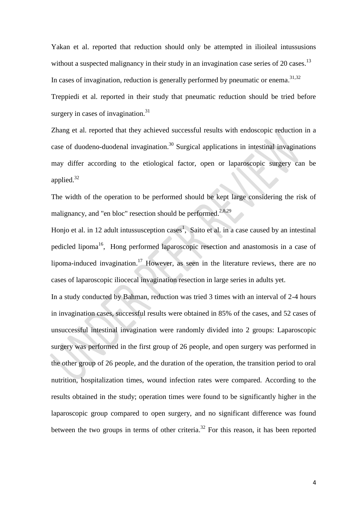Yakan et al. reported that reduction should only be attempted in ilioileal intussusions without a suspected malignancy in their study in an invagination case series of 20 cases.<sup>13</sup> In cases of invagination, reduction is generally performed by pneumatic or enema.<sup>31,32</sup> Treppiedi et al. reported in their study that pneumatic reduction should be tried before surgery in cases of invagination.<sup>31</sup>

Zhang et al. reported that they achieved successful results with endoscopic reduction in a case of duodeno-duodenal invagination.<sup>30</sup> Surgical applications in intestinal invaginations may differ according to the etiological factor, open or laparoscopic surgery can be applied.<sup>32</sup>

The width of the operation to be performed should be kept large considering the risk of malignancy, and "en bloc" resection should be performed.<sup>2,8,29</sup>

Honjo et al. in 12 adult intussusception cases<sup>1</sup>, Saito et al. in a case caused by an intestinal pedicled lipoma<sup>16</sup>, Hong performed laparoscopic resection and anastomosis in a case of lipoma-induced invagination.<sup>17</sup> However, as seen in the literature reviews, there are no cases of laparoscopic iliocecal invagination resection in large series in adults yet.

In a study conducted by Bahman, reduction was tried 3 times with an interval of 2-4 hours in invagination cases, successful results were obtained in 85% of the cases, and 52 cases of unsuccessful intestinal invagination were randomly divided into 2 groups: Laparoscopic surgery was performed in the first group of 26 people, and open surgery was performed in the other group of 26 people, and the duration of the operation, the transition period to oral nutrition, hospitalization times, wound infection rates were compared. According to the results obtained in the study; operation times were found to be significantly higher in the laparoscopic group compared to open surgery, and no significant difference was found between the two groups in terms of other criteria.<sup>32</sup> For this reason, it has been reported

4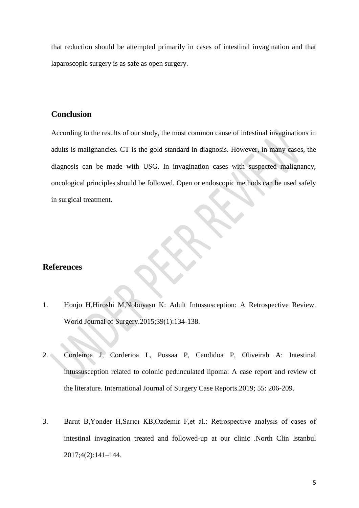that reduction should be attempted primarily in cases of intestinal invagination and that laparoscopic surgery is as safe as open surgery.

#### **Conclusion**

According to the results of our study, the most common cause of intestinal invaginations in adults is malignancies. CT is the gold standard in diagnosis. However, in many cases, the diagnosis can be made with USG. In invagination cases with suspected malignancy, oncological principles should be followed. Open or endoscopic methods can be used safely in surgical treatment.

## **References**

- 1. Honjo H,Hiroshi M,Nobuyasu K: Adult Intussusception: A Retrospective Review. World Journal of Surgery.2015;39(1):134-138.
- 2. Cordeiroa J, Corderioa L, Possaa P, Candidoa P, Oliveirab A: Intestinal intussusception related to colonic pedunculated lipoma: A case report and review of the literature. International Journal of Surgery Case Reports.2019; 55: 206-209.
- 3. Barut B,Yonder H,Sarıcı KB,Ozdemir F,et al.: Retrospective analysis of cases of intestinal invagination treated and followed-up at our clinic .North Clin Istanbul 2017;4(2):141–144.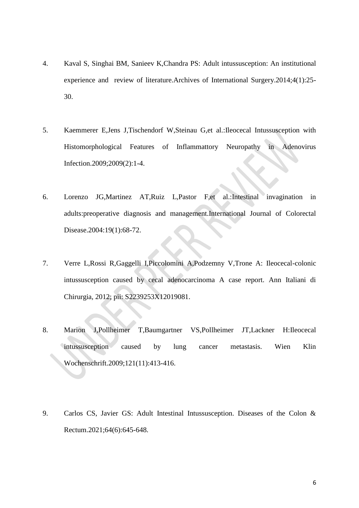- 4. Kaval S, Singhai BM, Sanieev K,Chandra PS: Adult intussusception: An institutional experience and review of literature.Archives of International Surgery.2014;4(1):25- 30.
- 5. Kaemmerer E,Jens J,Tischendorf W,Steinau G,et al.:Ileocecal Intussusception with Histomorphological Features of Inflammattory Neuropathy in Adenovirus Infection.2009;2009(2):1-4.
- 6. Lorenzo JG,Martinez AT,Ruiz L,Pastor F,et al.:Intestinal invagination in adults:preoperative diagnosis and management.International Journal of Colorectal Disease.2004:19(1):68-72.
- 7. Verre L,Rossi R,Gaggelli I,Piccolomini A,Podzemny V,Trone A: Ileocecal-colonic intussusception caused by cecal adenocarcinoma A case report. Ann Italiani di Chirurgia, 2012; pii: S2239253X12019081.
- 8. Marion J,Pollheimer T,Baumgartner VS,Pollheimer JT,Lackner H:Ileocecal intussusception caused by lung cancer metastasis. Wien Klin Wochenschrift.2009;121(11):413-416.
- 9. Carlos CS, Javier GS: Adult Intestinal Intussusception. Diseases of the Colon & Rectum.2021;64(6):645-648.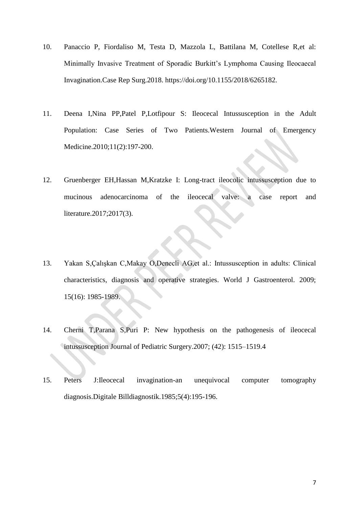- 10. Panaccio P, Fiordaliso M, Testa D, Mazzola L, Battilana M, Cotellese R,et al: Minimally Invasive Treatment of Sporadic Burkitt's Lymphoma Causing Ileocaecal Invagination.Case Rep Surg.2018. https://doi.org/10.1155/2018/6265182.
- 11. Deena I,Nina PP,Patel P,Lotfipour S: Ileocecal Intussusception in the Adult Population: Case Series of Two Patients.Western Journal of Emergency Medicine.2010;11(2):197-200.
- 12. Gruenberger EH,Hassan M,Kratzke I: Long-tract ileocolic intussusception due to mucinous adenocarcinoma of the ileocecal valve: a case report and literature.2017;2017(3).
- 13. Yakan S,Çalışkan C,Makay O,Denecli AG,et al.: Intussusception in adults: Clinical characteristics, diagnosis and operative strategies. World J Gastroenterol. 2009; 15(16): 1985-1989.
- 14. Cherni T,Parana S,Puri P: New hypothesis on the pathogenesis of ileocecal intussusception Journal of Pediatric Surgery.2007; (42): 1515–1519.4
- 15. Peters J:Ileocecal invagination-an unequivocal computer tomography diagnosis.Digitale Billdiagnostik.1985;5(4):195-196.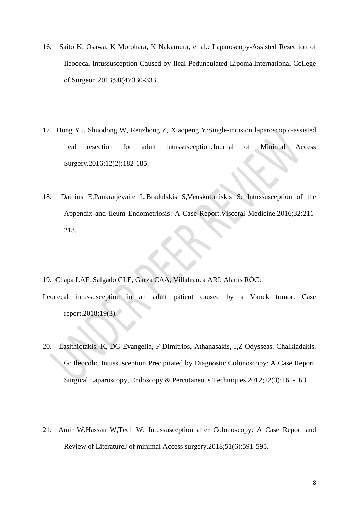- 16. Saito K, Osawa, K Morohara, K Nakamura, et al.: Laparoscopy-Assisted Resection of Ileocecal Intussusception Caused by Ileal Pedunculated Lipoma.International College of Surgeon.2013;98(4):330-333.
- 17. Hong Yu, Shuodong W, Renzhong Z, Xiaopeng Y:Single-incision laparoscopic-assisted ileal resection for adult intussusception.Journal of Minimal Access Surgery.2016;12(2):182-185.
- 18. Dainius E,Pankratjevaite L,Bradulskis S,Venskutoniskis S: Intussusception of the Appendix and Ileum Endometriosis: A Case Report.Visceral Medicine.2016;32:211- 213.
- 19. Chapa LAF, Salgado CLE, Garza CAA, Villafranca ARI, Alanís RÓC:
- Ileocecal intussusception in an adult patient caused by a Vanek tumor: Case report.2018;19(3).
- 20. Lasithiotakis, K, DG Evangelia, F Dimitrios, Athanasakis, I,Z Odysseas, Chalkiadakis, G: Ileocolic Intussusception Precipitated by Diagnostic Colonoscopy: A Case Report. Surgical Laparoscopy, Endoscopy & Percutaneous Techniques.2012;22(3):161-163.
- 21. Amir W,Hassan W,Tech W: Intussusception after Colonoscopy: A Case Report and Review of LiteratureJ of minimal Access surgery.2018;51(6):591-595.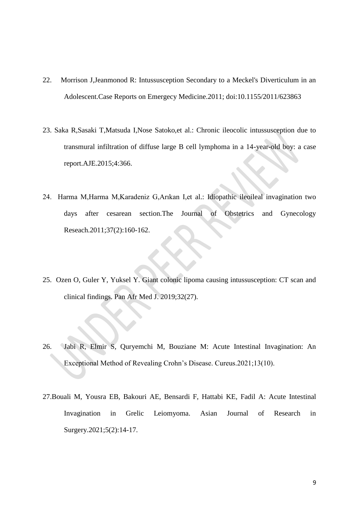- 22. Morrison J,Jeanmonod R: Intussusception Secondary to a Meckel's Diverticulum in an Adolescent.Case Reports on Emergecy Medicine.2011; doi:10.1155/2011/623863
- 23. Saka R,Sasaki T,Matsuda I,Nose Satoko,et al.: Chronic ileocolic intussusception due to transmural infiltration of diffuse large B cell lymphoma in a 14-year-old boy: a case report.AJE.2015;4:366.
- 24. Harma M,Harma M,Karadeniz G,Arıkan I,et al.: Idiopathic ileoileal invagination two days after cesarean section.The Journal of Obstetrics and Gynecology Reseach.2011;37(2):160-162.
- 25. Ozen O, Guler Y, Yuksel Y. Giant colonic lipoma causing intussusception: CT scan and clinical findings. Pan Afr Med J. 2019;32(27).
- 26. Jabi R, Elmir S, Quryemchi M, Bouziane M: Acute Intestinal Invagination: An Exceptional Method of Revealing Crohn's Disease. Cureus.2021;13(10).
- 27.Bouali M, Yousra EB, Bakouri AE, Bensardi F, Hattabi KE, Fadil A: Acute Intestinal Invagination in Grelic Leiomyoma. Asian Journal of Research in Surgery.2021;5(2):14-17.